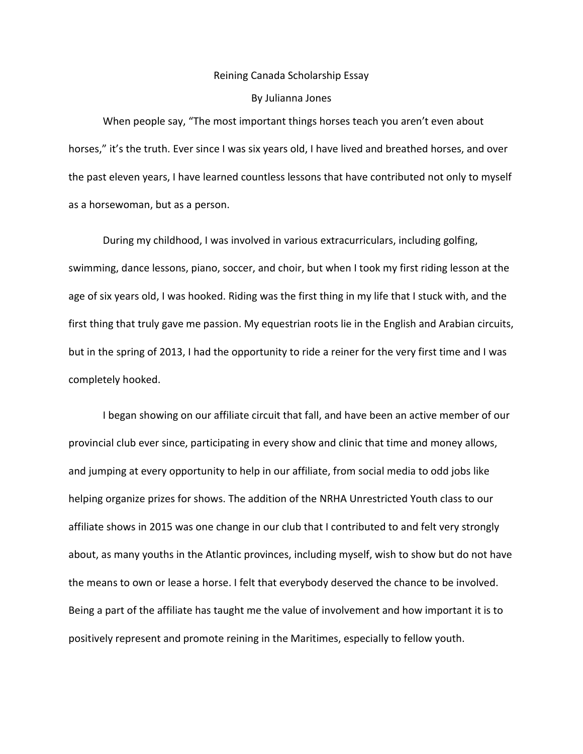## Reining Canada Scholarship Essay

## By Julianna Jones

When people say, "The most important things horses teach you aren't even about horses," it's the truth. Ever since I was six years old, I have lived and breathed horses, and over the past eleven years, I have learned countless lessons that have contributed not only to myself as a horsewoman, but as a person.

During my childhood, I was involved in various extracurriculars, including golfing, swimming, dance lessons, piano, soccer, and choir, but when I took my first riding lesson at the age of six years old, I was hooked. Riding was the first thing in my life that I stuck with, and the first thing that truly gave me passion. My equestrian roots lie in the English and Arabian circuits, but in the spring of 2013, I had the opportunity to ride a reiner for the very first time and I was completely hooked.

I began showing on our affiliate circuit that fall, and have been an active member of our provincial club ever since, participating in every show and clinic that time and money allows, and jumping at every opportunity to help in our affiliate, from social media to odd jobs like helping organize prizes for shows. The addition of the NRHA Unrestricted Youth class to our affiliate shows in 2015 was one change in our club that I contributed to and felt very strongly about, as many youths in the Atlantic provinces, including myself, wish to show but do not have the means to own or lease a horse. I felt that everybody deserved the chance to be involved. Being a part of the affiliate has taught me the value of involvement and how important it is to positively represent and promote reining in the Maritimes, especially to fellow youth.